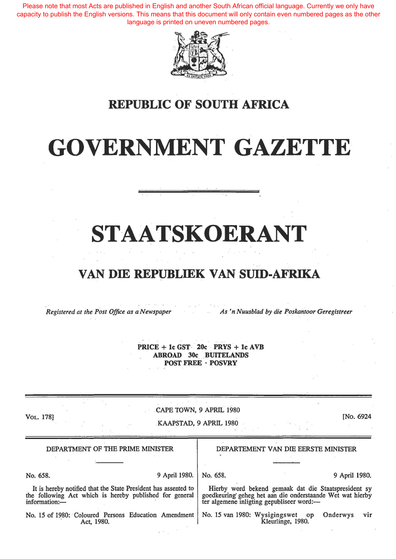Please note that most Acts are published in English and another South African official language. Currently we only have capacity to publish the English versions. This means that this document will only contain even numbered pages as the other language is printed on uneven numbered pages.



### **REPUBLIC OF SOUTH AFRICA**

# **GOVERNMENT GAZETTE**

# **STAATSKOERANT**

#### **VAN DIE REPUBLIEK VAN SUID-AFRIKA**

*Registered at the Post Office as a Newspaper As 'n Nuusblad by die Poskantoor Geregistreer* 

**PRICE+ lc GST· 20c: PRYS + lc AVB ABROAD** 30c:. **BUITELANDS POST FREE · POSVRY** 

VoL. 178]

CAPE TOWN, 9 APRIL 1980

KAAPSTAD, 9 APRIL 1980

[No. 6924

| DEPARTMENT OF THE PRIME MINISTER                                                                                                           | DEPARTEMENT VAN DIE EERSTE MINISTER                                                                                                                            |
|--------------------------------------------------------------------------------------------------------------------------------------------|----------------------------------------------------------------------------------------------------------------------------------------------------------------|
|                                                                                                                                            |                                                                                                                                                                |
| 9 April 1980.<br>No. 658.                                                                                                                  | No. 658.<br>9 April 1980.                                                                                                                                      |
| It is hereby notified that the State President has assented to<br>the following Act which is hereby published for general<br>information:- | Hierby word bekend gemaak dat die Staatspresident sy<br>goedkeuring geheg het aan die onderstaande Wet wat hierby<br>ter algemene inligting gepubliseer word:- |
| No. 15 of 1980: Coloured Persons Education Amendment<br>Act, 1980.                                                                         | No. 15 van 1980: Wysigingswet op<br>Onderwys<br><b>VIT</b><br>Kleurlinge, 1980.                                                                                |